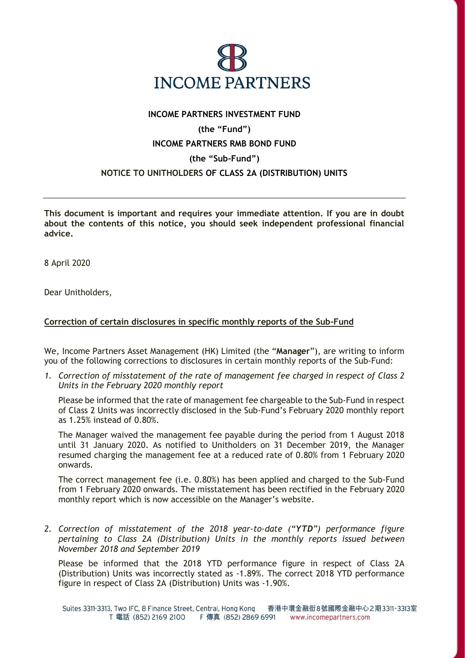

## **INCOME PARTNERS INVESTMENT FUND (the "Fund") INCOME PARTNERS RMB BOND FUND (the "Sub-Fund") NOTICE TO UNITHOLDERS OF CLASS 2A (DISTRIBUTION) UNITS**

**This document is important and requires your immediate attention. If you are in doubt about the contents of this notice, you should seek independent professional financial advice.**

8 April 2020

Dear Unitholders,

## **Correction of certain disclosures in specific monthly reports of the Sub-Fund**

We, Income Partners Asset Management (HK) Limited (the "**Manager**"), are writing to inform you of the following corrections to disclosures in certain monthly reports of the Sub-Fund:

*1. Correction of misstatement of the rate of management fee charged in respect of Class 2 Units in the February 2020 monthly report* 

Please be informed that the rate of management fee chargeable to the Sub-Fund in respect of Class 2 Units was incorrectly disclosed in the Sub-Fund's February 2020 monthly report as 1.25% instead of 0.80%.

The Manager waived the management fee payable during the period from 1 August 2018 until 31 January 2020. As notified to Unitholders on 31 December 2019, the Manager resumed charging the management fee at a reduced rate of 0.80% from 1 February 2020 onwards.

The correct management fee (i.e. 0.80%) has been applied and charged to the Sub-Fund from 1 February 2020 onwards. The misstatement has been rectified in the February 2020 monthly report which is now accessible on the Manager's website.

*2. Correction of misstatement of the 2018 year-to-date ("YTD") performance figure pertaining to Class 2A (Distribution) Units in the monthly reports issued between November 2018 and September 2019*

Please be informed that the 2018 YTD performance figure in respect of Class 2A (Distribution) Units was incorrectly stated as -1.89%. The correct 2018 YTD performance figure in respect of Class 2A (Distribution) Units was -1.90%.